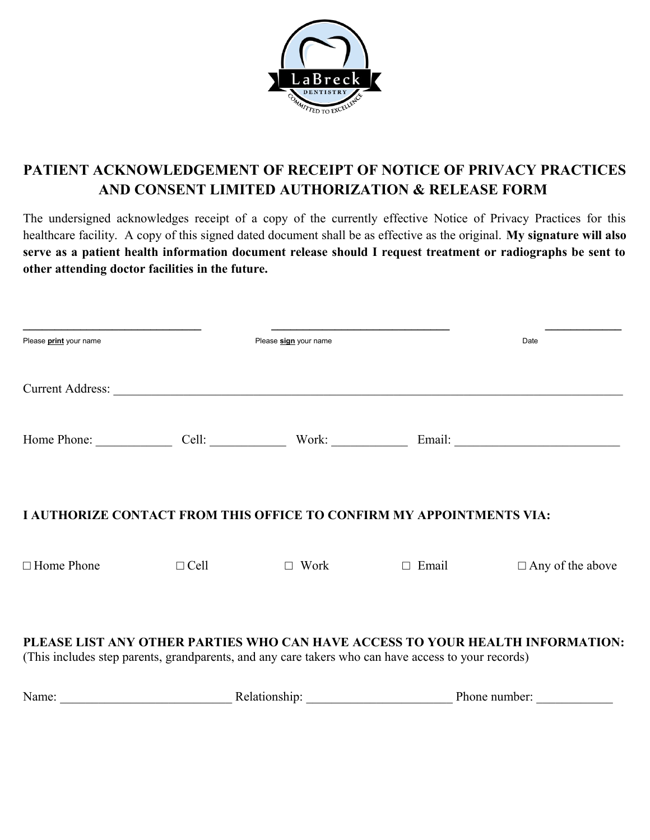

## **PATIENT ACKNOWLEDGEMENT OF RECEIPT OF NOTICE OF PRIVACY PRACTICES AND CONSENT LIMITED AUTHORIZATION & RELEASE FORM**

The undersigned acknowledges receipt of a copy of the currently effective Notice of Privacy Practices for this healthcare facility. A copy of this signed dated document shall be as effective as the original. **My signature will also serve as a patient health information document release should I request treatment or radiographs be sent to other attending doctor facilities in the future.**

| Please print your name                                                                              |             | Please sign your name       |               | Date                                                                          |
|-----------------------------------------------------------------------------------------------------|-------------|-----------------------------|---------------|-------------------------------------------------------------------------------|
|                                                                                                     |             |                             |               |                                                                               |
|                                                                                                     |             |                             |               | Home Phone: Cell: Cell: Work: Email: Email:                                   |
| <b>I AUTHORIZE CONTACT FROM THIS OFFICE TO CONFIRM MY APPOINTMENTS VIA:</b>                         |             |                             |               |                                                                               |
| $\Box$ Home Phone                                                                                   | $\Box$ Cell | $\Box$ Work                 | $\Box$ Email  | $\Box$ Any of the above                                                       |
| (This includes step parents, grandparents, and any care takers who can have access to your records) |             |                             |               | PLEASE LIST ANY OTHER PARTIES WHO CAN HAVE ACCESS TO YOUR HEALTH INFORMATION: |
| Name:                                                                                               |             | Relationship: New York 1997 | Phone number: |                                                                               |